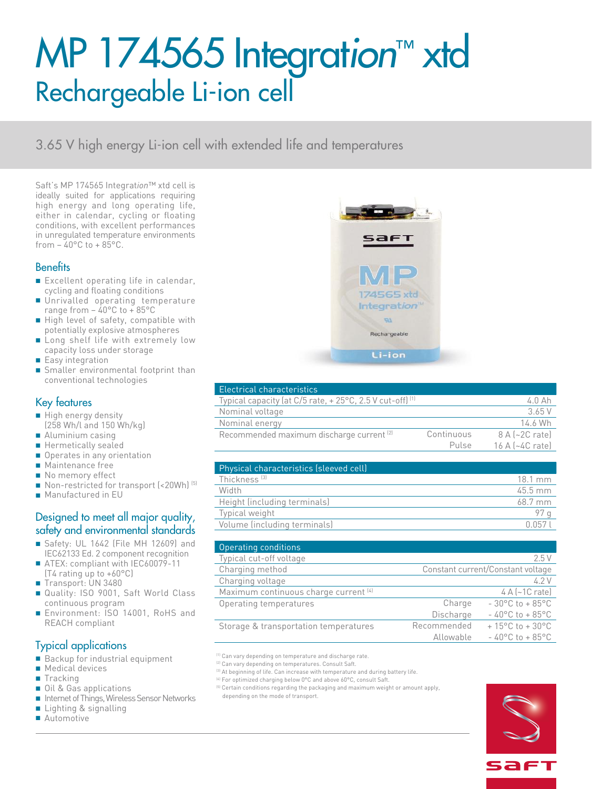# MP 174565 Integrat*ion*™ xtd Rechargeable Li-ion cell

3.65 V high energy Li-ion cell with extended life and temperatures

Saft's MP 174565 Integrat*ion*™ xtd cell is ideally suited for applications requiring high energy and long operating life, either in calendar, cycling or floating conditions, with excellent performances in unregulated temperature environments from  $-$  40 $^{\circ}$ C to  $+$  85 $^{\circ}$ C.

### **Benefits**

- Excellent operating life in calendar, cycling and floating conditions
- Unrivalled operating temperature range from – 40°C to + 85°C
- High level of safety, compatible with potentially explosive atmospheres
- Long shelf life with extremely low capacity loss under storage
- Easy integration
- Smaller environmental footprint than conventional technologies

## Key features

- High energy density (258 Wh/l and 150 Wh/kg)
- Aluminium casing
- Hermetically sealed
- Operates in any orientation
- Maintenance free
- No memory effect
- Non-restricted for transport (<20Wh)<sup>(5)</sup>
- Manufactured in EU

#### Designed to meet all major quality, safety and environmental standards

- Safety: UL 1642 (File MH 12609) and IEC62133 Ed. 2 component recognition
- ATEX: compliant with IEC60079-11 (T4 rating up to +60°C)
- Transport: UN 3480
- Quality: ISO 9001, Saft World Class continuous program
- Environment: ISO 14001, RoHS and REACH compliant

# Typical applications

- Backup for industrial equipment
- Medical devices
- Tracking
- Oil & Gas applications
- Internet of Things, Wireless Sensor Networks
- Lighting & signalling
- Automotive



| <b>Electrical characteristics</b>                                   |            |                                 |
|---------------------------------------------------------------------|------------|---------------------------------|
| Typical capacity (at C/5 rate, +25°C, 2.5 V cut-off) <sup>(1)</sup> |            | 4.0 Ah                          |
| Nominal voltage                                                     |            | 3.65 V                          |
| Nominal energy                                                      |            | 14.6 Wh                         |
| Recommended maximum discharge current <sup>[2]</sup>                | Continuous | $8A$ (~2C rate)                 |
|                                                                     | Pulse      | $16$ A $\left[-4C\right]$ ratel |

| Physical characteristics (sleeved cell) |                   |
|-----------------------------------------|-------------------|
| Thickness <sup>[3]</sup>                | $18.1 \text{ mm}$ |
| Width                                   | $45.5 \text{ mm}$ |
| Height (including terminals)            | 68.7 mm           |
| Typical weight                          |                   |
| Volume (including terminals)            | (11157)           |

| Operating conditions                  |                                   |                                      |
|---------------------------------------|-----------------------------------|--------------------------------------|
| Typical cut-off voltage               |                                   | 2.5V                                 |
| Charging method                       | Constant current/Constant voltage |                                      |
| Charging voltage                      |                                   | 4.2 V                                |
| Maximum continuous charge current [4] |                                   | $4 A$ (~1C rate)                     |
| Operating temperatures                | Charge                            | $-30^{\circ}$ C to $+85^{\circ}$ C   |
|                                       | Discharge                         | $-40^{\circ}$ C to + 85 $^{\circ}$ C |
| Storage & transportation temperatures | Recommended                       | $+15^{\circ}$ C to $+30^{\circ}$ C   |
|                                       | Allowable                         | $-40^{\circ}$ C to + 85 $^{\circ}$ C |

(1) Can vary depending on temperature and discharge rate

<sup>(2)</sup> Can vary depending on temperatures. Consult Saft.

- (3) At beginning of life. Can increase with temperature and during battery life
- <sup>(4)</sup> For optimized charging below 0°C and above 60°C, consult Saft.
- <sup>(5)</sup> Certain conditions regarding the packaging and maximum weight or amount apply, depending on the mode of transport.